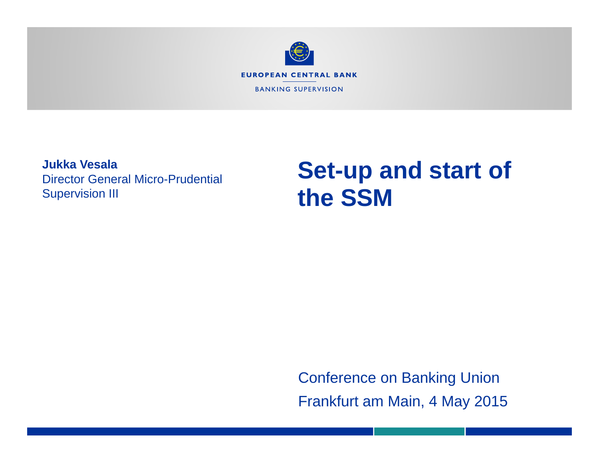

**Jukka Vesala**Director General Micro-Prudential Supervision III

# **Set-up and start of the SSM**

Conference on Banking Union Frankfurt am Main, 4 May 2015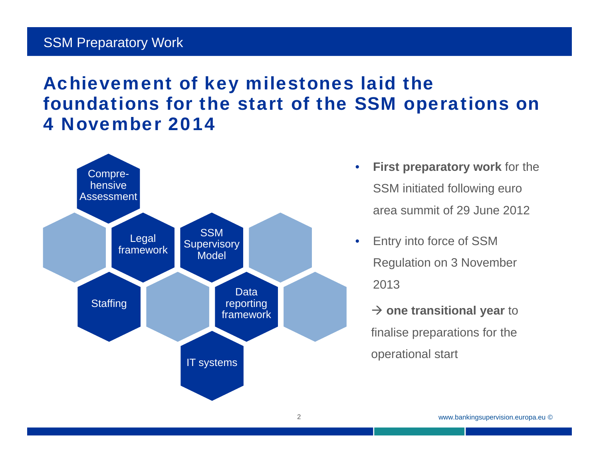#### SSM Preparatory Work

## Achievement of key milestones laid the foundations for the start of the SSM operations on 4 November 2014



- • **First preparatory work** for the SSM initiated following euro area summit of 29 June 2012
- • Entry into force of SSM Regulation on 3 November 2013
	- **one transitional year** to finalise preparations for the operational start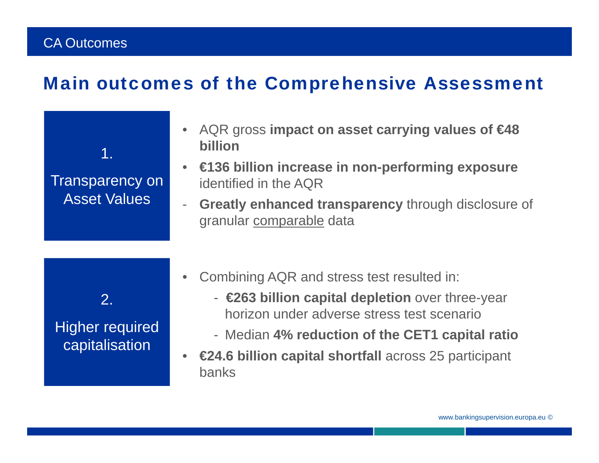#### **CA Outcomes**

2.

Higher required

**capitalisation** 

#### Main outcomes of the Comprehensive Assessment



- **€263 billion capital depletion** over three-year horizon under adverse stress test scenario
- Median **4% reduction of the CET1 capital ratio**
- • **€24.6 billion capital shortfall** across 25 participant banks

www.bankingsupervision.europa.eu ©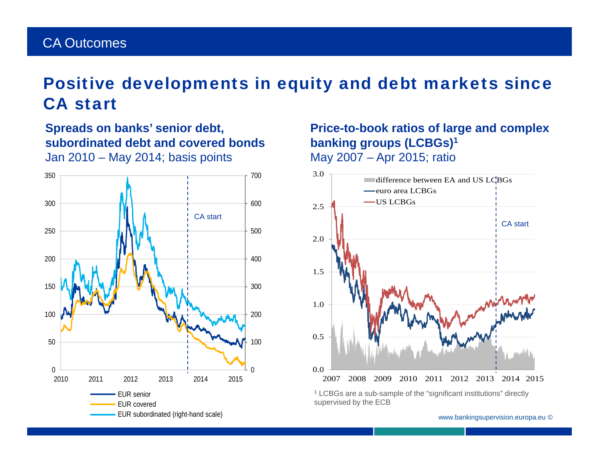### Positive developments in equity and debt markets since CA start

#### **Spreads on banks' senior debt, subordinated debt and covered bonds**Jan 2010 – May 2014; basis points



#### **Price-to-book ratios of large and complex banking groups (LCBGs)1** May 2007 – Apr 2015; ratio



<sup>1</sup> LCBGs are a sub-sample of the "significant institutions" directly supervised by the ECB

www.bankingsupervision.europa.eu ©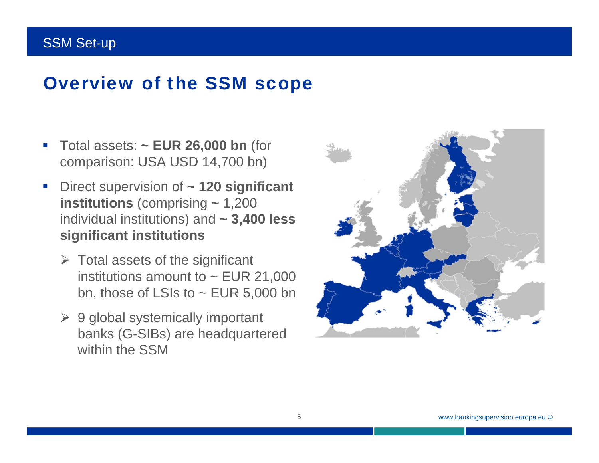#### SSM Set-up

#### Overview of the SSM scope

- $\mathcal{L}_{\mathcal{A}}$  Total assets: **~ EUR 26,000 bn** (for comparison: USA USD 14,700 bn)
- $\mathcal{L}_{\mathcal{A}}$  Direct supervision of **~ 120 significant institutions** (comprising **<sup>~</sup>** 1,200 individual institutions) and **~ 3,400 less significant institutions**
	- $\triangleright$  Total assets of the significant institutions amount to  $\sim$  EUR 21,000 bn, those of LSIs to  $\sim$  EUR 5,000 bn
	- $\triangleright$  9 global systemically important banks (G-SIBs) are headquartered within the SSM

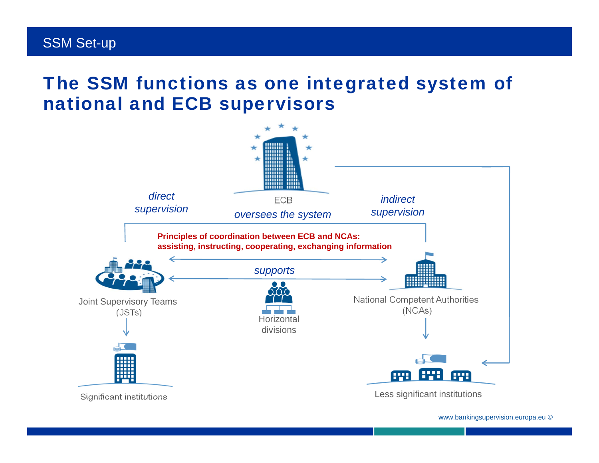#### SSM Set-up

### The SSM functions as one integrated system of national and ECB supervisors

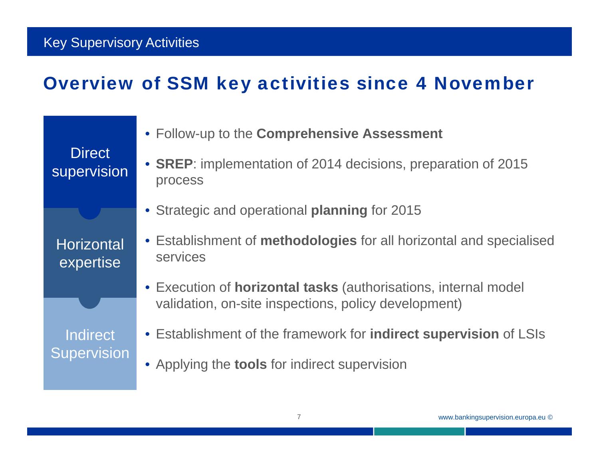## Overview of SSM key activities since 4 November

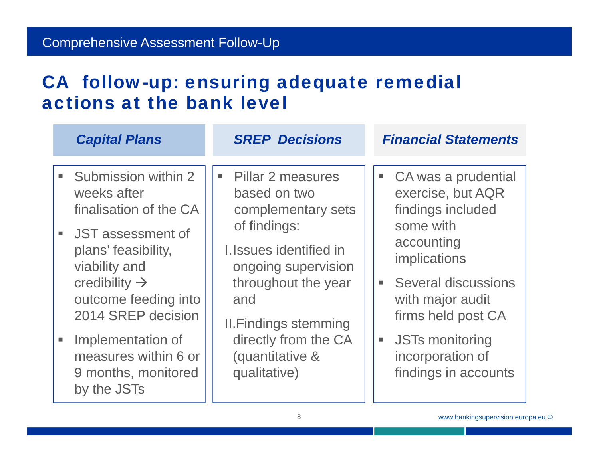## CA follow-up: ensuring adequate remedial actions at the bank level

| <b>Capital Plans</b>                                                                                                                                                                                                                                                                              | <b>SREP Decisions</b>                                                                                                                                                                                                                                         | <b>Financial Statements</b>                                                                                                                                                                                                                                                                  |
|---------------------------------------------------------------------------------------------------------------------------------------------------------------------------------------------------------------------------------------------------------------------------------------------------|---------------------------------------------------------------------------------------------------------------------------------------------------------------------------------------------------------------------------------------------------------------|----------------------------------------------------------------------------------------------------------------------------------------------------------------------------------------------------------------------------------------------------------------------------------------------|
| • Submission within 2<br>weeks after<br>finalisation of the CA<br>• JST assessment of<br>plans' feasibility,<br>viability and<br>credibility $\rightarrow$<br>outcome feeding into<br>2014 SREP decision<br>Implementation of<br>L.<br>measures within 6 or<br>9 months, monitored<br>by the JSTs | <b>Pillar 2 measures</b><br>٠<br>based on two<br>complementary sets<br>of findings:<br>I. Issues identified in<br>ongoing supervision<br>throughout the year<br>and<br><b>II.Findings stemming</b><br>directly from the CA<br>(quantitative &<br>qualitative) | • CA was a prudential<br>exercise, but AQR<br>findings included<br>some with<br>accounting<br>implications<br><b>Several discussions</b><br>$\mathcal{L}_{\mathcal{A}}$<br>with major audit<br>firms held post CA<br><b>JSTs monitoring</b><br>E<br>incorporation of<br>findings in accounts |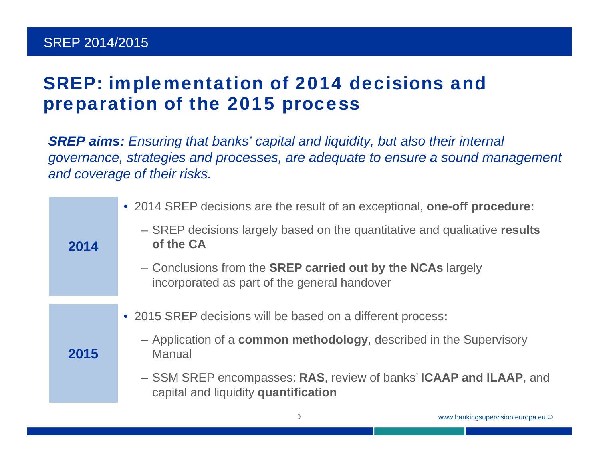## SREP: implementation of 2014 decisions and preparation of the 2015 process

*SREP aims: Ensuring that banks' capital and liquidity, but also their internal governance, strategies and processes, are adequate to ensure a sound management and coverage of their risks.*

|      | • 2014 SREP decisions are the result of an exceptional, one-off procedure:                                         |
|------|--------------------------------------------------------------------------------------------------------------------|
| 2014 | - SREP decisions largely based on the quantitative and qualitative results<br>of the CA                            |
|      | - Conclusions from the <b>SREP carried out by the NCAs</b> largely<br>incorporated as part of the general handover |
|      | • 2015 SREP decisions will be based on a different process:                                                        |
| 2015 | - Application of a <b>common methodology</b> , described in the Supervisory<br><b>Manual</b>                       |
|      | - SSM SREP encompasses: RAS, review of banks' ICAAP and ILAAP, and<br>capital and liquidity quantification         |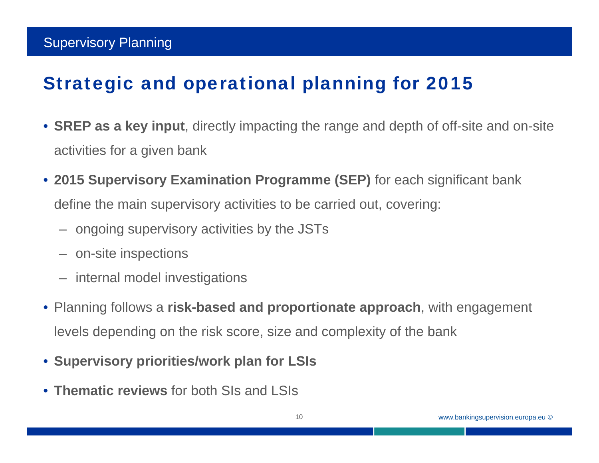## Strategic and operational planning for 2015

- **SREP as a key input**, directly impacting the range and depth of off-site and on-site activities for a given bank
- **2015 Supervisory Examination Programme (SEP)** for each significant bank

define the main supervisory activities to be carried out, covering:

- ongoing supervisory activities by the JSTs
- on-site inspections
- internal model investigations
- Planning follows a **risk-based and proportionate approach**, with engagement levels depending on the risk score, size and complexity of the bank
- **Supervisory priorities/work plan for LSIs**
- **Thematic reviews** for both SIs and LSIs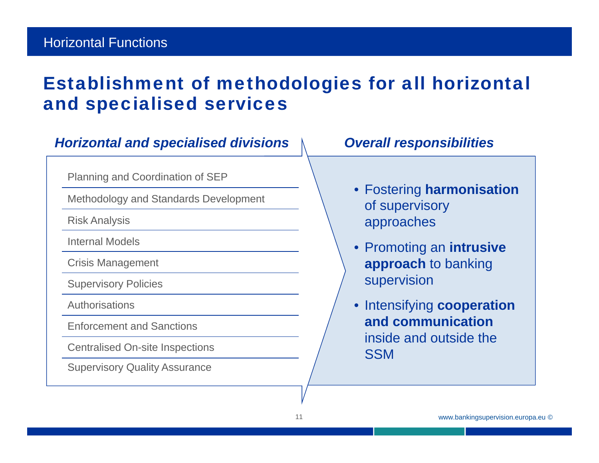## Establishment of methodologies for all horizontal and specialised services

#### *Horizontal and specialised divisions Overall responsibilities*

Planning and Coordination of SEP

Methodology and Standards Development

Risk Analysis

Internal Models

Crisis Management

Supervisory Policies

**Authorisations** 

Enforcement and Sanctions

Centralised On-site Inspections

Supervisory Quality Assurance

- Fostering **harmonisation** of supervisory approaches
- Promoting an **intrusive approach** to banking supervision
- Intensifying **cooperation and communication**inside and outside the **SSM**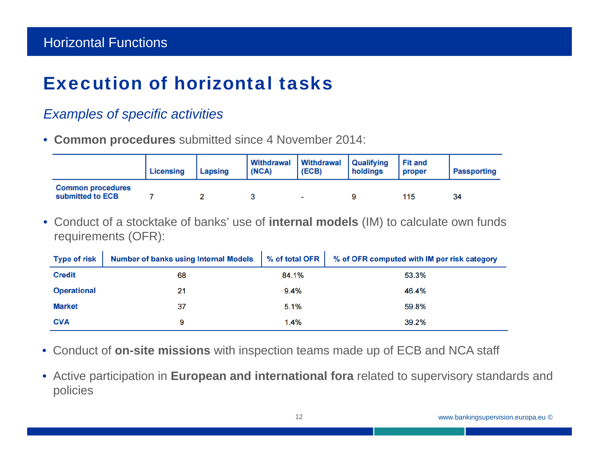## Execution of horizontal tasks

#### *Examples of specific activities*

• **Common procedures** submitted since 4 November 2014:

|                                              | Licensing | Lapsing | Withdrawal<br>(NCA) | <b>Withdrawal</b><br>(ECB) | Qualifying<br>holdings | <b>Fit and</b><br>proper | <b>Passporting</b> |
|----------------------------------------------|-----------|---------|---------------------|----------------------------|------------------------|--------------------------|--------------------|
| <b>Common procedures</b><br>submitted to ECB |           |         |                     | -                          |                        | 115                      | 34                 |

• Conduct of a stocktake of banks' use of **internal models** (IM) to calculate own funds requirements (OFR):

| <b>Type of risk</b> | <b>Number of banks using Internal Models</b> | % of total OFR | % of OFR computed with IM per risk category |
|---------------------|----------------------------------------------|----------------|---------------------------------------------|
| <b>Credit</b>       | 68                                           | 84.1%          | 53.3%                                       |
| <b>Operational</b>  | 21                                           | 9.4%           | 46.4%                                       |
| <b>Market</b>       | 37                                           | 5.1%           | 59.8%                                       |
| <b>CVA</b>          | 9                                            | 1.4%           | 39.2%                                       |

- Conduct of **on-site missions** with inspection teams made up of ECB and NCA staff
- Active participation in **European and international fora** related to supervisory standards and policies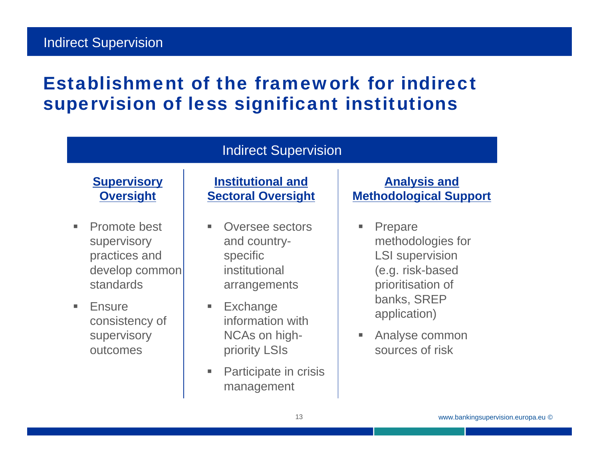## Establishment of the framework for indirect supervision of less significant institutions

#### Indirect Supervision **Supervisory Oversight Institutional and Sectoral Oversight Analysis and Methodological Support**  $\mathbf{u}$  . Promote best supervisory practices and develop common standards■ Ensure consistency of supervisory outcomes■ Oversee sectors and countryspecific institutional arrangements ٠ Exchange information with NCAs on highpriority LSIs ■ Participate in crisis management Prepare methodologies for LSI supervision (e.g. risk-based prioritisation of banks, SREP application) Analyse common sources of risk